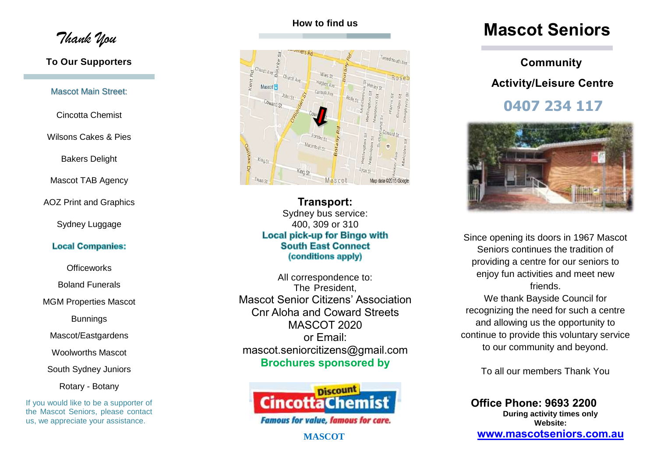*Thank You*

#### **To Our Supporters**

#### Mascot Main Street:

Cincotta Chemist

Wilsons Cakes & Pies

Bakers Delight

Mascot TAB Agency

AOZ Print and Graphics

#### Sydney Luggage

#### **Local Companies:**

**Officeworks** 

Boland Funerals

MGM Properties Mascot

Bunnings

Mascot/Eastgardens

Woolworths Mascot

South Sydney Juniors

Rotary - Botany

If you would like to be a supporter of the Mascot Seniors, please contact us, we appreciate your assistance.

### **How to find us**



**Transport:** Sydney bus service: 400, 309 or 310 Local pick-up for Bingo with **South East Connect** (conditions apply)

All correspondence to: The President, Mascot Senior Citizens' Association Cnr Aloha and Coward Streets MASCOT 2020 or Email: mascot.seniorcitizens@gmail.com **Brochures sponsored by** 



**MASCOT**

## **Mascot Seniors**

# **Community Activity/Leisure Centre**

**0407 234 117**



Since opening its doors in 1967 Mascot Seniors continues the tradition of providing a centre for our seniors to enjoy fun activities and meet new friends.

We thank Bayside Council for recognizing the need for such a centre and allowing us the opportunity to continue to provide this voluntary service to our community and beyond.

To all our members Thank You

**Office Phone: 9693 2200 During activity times only Website: [www.mascotseniors.com.](http://www.mascotseniors.com/)au**